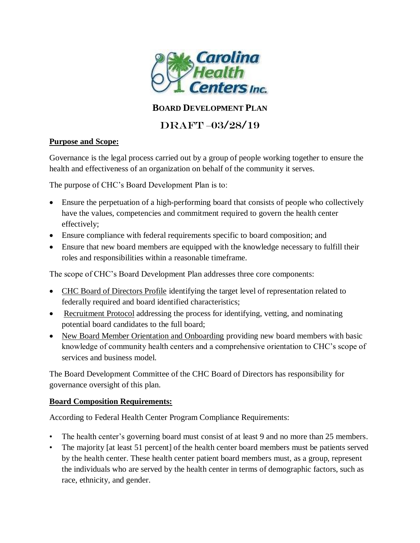

## **BOARD DEVELOPMENT PLAN**

# DRAFT –03/28/19

#### **Purpose and Scope:**

Governance is the legal process carried out by a group of people working together to ensure the health and effectiveness of an organization on behalf of the community it serves.

The purpose of CHC's Board Development Plan is to:

- Ensure the perpetuation of a high-performing board that consists of people who collectively have the values, competencies and commitment required to govern the health center effectively;
- Ensure compliance with federal requirements specific to board composition; and
- Ensure that new board members are equipped with the knowledge necessary to fulfill their roles and responsibilities within a reasonable timeframe.

The scope of CHC's Board Development Plan addresses three core components:

- CHC Board of Directors Profile identifying the target level of representation related to federally required and board identified characteristics;
- Recruitment Protocol addressing the process for identifying, vetting, and nominating potential board candidates to the full board;
- New Board Member Orientation and Onboarding providing new board members with basic knowledge of community health centers and a comprehensive orientation to CHC's scope of services and business model.

The Board Development Committee of the CHC Board of Directors has responsibility for governance oversight of this plan.

#### **Board Composition Requirements:**

According to Federal Health Center Program Compliance Requirements:

- The health center's governing board must consist of at least 9 and no more than 25 members.
- The majority [at least 51 percent] of the health center board members must be patients served by the health center. These health center patient board members must, as a group, represent the individuals who are served by the health center in terms of demographic factors, such as race, ethnicity, and gender.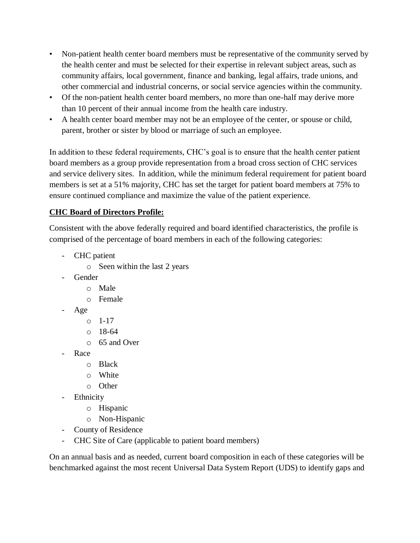- Non-patient health center board members must be representative of the community served by the health center and must be selected for their expertise in relevant subject areas, such as community affairs, local government, finance and banking, legal affairs, trade unions, and other commercial and industrial concerns, or social service agencies within the community.
- Of the non-patient health center board members, no more than one-half may derive more than 10 percent of their annual income from the health care industry.
- A health center board member may not be an employee of the center, or spouse or child, parent, brother or sister by blood or marriage of such an employee.

In addition to these federal requirements, CHC's goal is to ensure that the health center patient board members as a group provide representation from a broad cross section of CHC services and service delivery sites. In addition, while the minimum federal requirement for patient board members is set at a 51% majority, CHC has set the target for patient board members at 75% to ensure continued compliance and maximize the value of the patient experience.

## **CHC Board of Directors Profile:**

Consistent with the above federally required and board identified characteristics, the profile is comprised of the percentage of board members in each of the following categories:

- CHC patient
	- o Seen within the last 2 years
- **Gender** 
	- o Male
	- o Female
- Age
	- o 1-17
	- $0.18 64$
	- o 65 and Over
- Race
	- o Black
	- o White
	- o Other
- **Ethnicity** 
	- o Hispanic
	- o Non-Hispanic
- County of Residence
- CHC Site of Care (applicable to patient board members)

On an annual basis and as needed, current board composition in each of these categories will be benchmarked against the most recent Universal Data System Report (UDS) to identify gaps and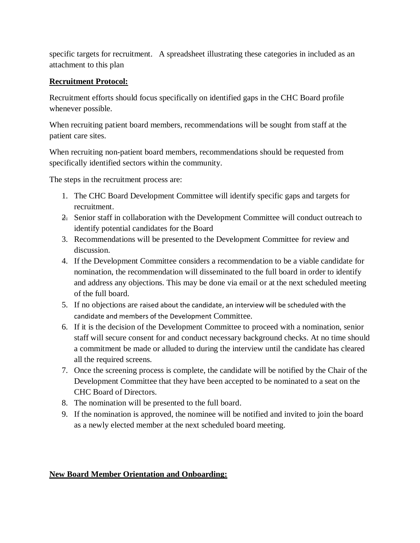specific targets for recruitment. A spreadsheet illustrating these categories in included as an attachment to this plan

#### **Recruitment Protocol:**

Recruitment efforts should focus specifically on identified gaps in the CHC Board profile whenever possible.

When recruiting patient board members, recommendations will be sought from staff at the patient care sites.

When recruiting non-patient board members, recommendations should be requested from specifically identified sectors within the community.

The steps in the recruitment process are:

- 1. The CHC Board Development Committee will identify specific gaps and targets for recruitment.
- 2. Senior staff in collaboration with the Development Committee will conduct outreach to identify potential candidates for the Board
- 3. Recommendations will be presented to the Development Committee for review and discussion.
- 4. If the Development Committee considers a recommendation to be a viable candidate for nomination, the recommendation will disseminated to the full board in order to identify and address any objections. This may be done via email or at the next scheduled meeting of the full board.
- 5. If no objections are raised about the candidate, an interview will be scheduled with the candidate and members of the Development Committee.
- 6. If it is the decision of the Development Committee to proceed with a nomination, senior staff will secure consent for and conduct necessary background checks. At no time should a commitment be made or alluded to during the interview until the candidate has cleared all the required screens.
- 7. Once the screening process is complete, the candidate will be notified by the Chair of the Development Committee that they have been accepted to be nominated to a seat on the CHC Board of Directors.
- 8. The nomination will be presented to the full board.
- 9. If the nomination is approved, the nominee will be notified and invited to join the board as a newly elected member at the next scheduled board meeting.

## **New Board Member Orientation and Onboarding:**